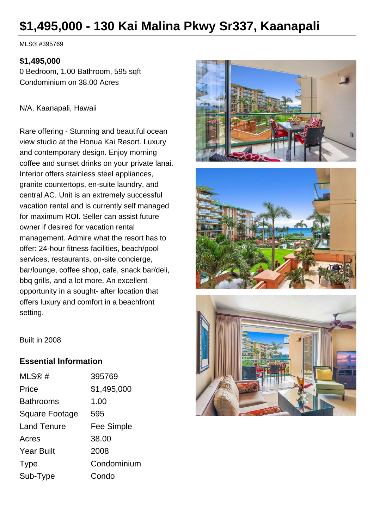# **\$1,495,000 - 130 Kai Malina Pkwy Sr337, Kaanapali**

MLS® #395769

#### **\$1,495,000**

0 Bedroom, 1.00 Bathroom, 595 sqft Condominium on 38.00 Acres

N/A, Kaanapali, Hawaii

Rare offering - Stunning and beautiful ocean view studio at the Honua Kai Resort. Luxury and contemporary design. Enjoy morning coffee and sunset drinks on your private lanai. Interior offers stainless steel appliances, granite countertops, en-suite laundry, and central AC. Unit is an extremely successful vacation rental and is currently self managed for maximum ROI. Seller can assist future owner if desired for vacation rental management. Admire what the resort has to offer: 24-hour fitness facilities, beach/pool services, restaurants, on-site concierge, bar/lounge, coffee shop, cafe, snack bar/deli, bbq grills, and a lot more. An excellent opportunity in a sought- after location that offers luxury and comfort in a beachfront setting.







Built in 2008

#### **Essential Information**

| MLS@#              | 395769      |
|--------------------|-------------|
| Price              | \$1,495,000 |
| <b>Bathrooms</b>   | 1.00        |
| Square Footage     | 595         |
| <b>Land Tenure</b> | Fee Simple  |
| Acres              | 38.00       |
| <b>Year Built</b>  | 2008        |
| <b>Type</b>        | Condominium |
| Sub-Type           | Condo       |
|                    |             |